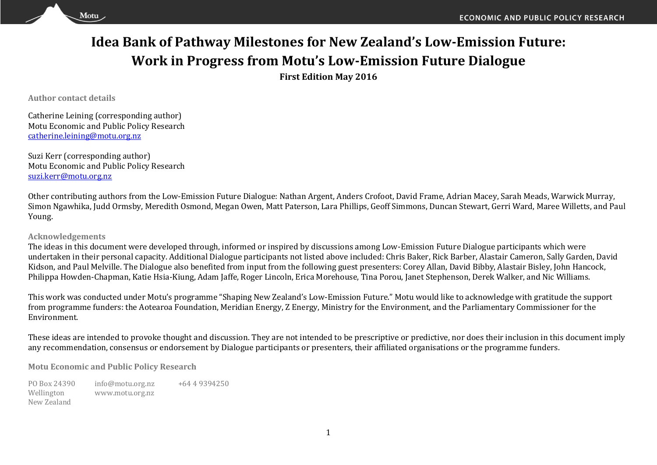# **Idea Bank of Pathway Milestones for New Zealand's Low-Emission Future: Work in Progress from Motu's Low-Emission Future Dialogue**

**First Edition May 2016**

**Author contact details**

Motu

Catherine Leining (corresponding author) Motu Economic and Public Policy Research [catherine.leining@motu.org.nz](mailto:catherine.leining@motu.org.nz)

Suzi Kerr (corresponding author) Motu Economic and Public Policy Research [suzi.kerr@motu.org.nz](mailto:suzi.kerr@motu.org.nz)

Other contributing authors from the Low-Emission Future Dialogue: Nathan Argent, Anders Crofoot, David Frame, Adrian Macey, Sarah Meads, Warwick Murray, Simon Ngawhika, Judd Ormsby, Meredith Osmond, Megan Owen, Matt Paterson, Lara Phillips, Geoff Simmons, Duncan Stewart, Gerri Ward, Maree Willetts, and Paul Young.

### **Acknowledgements**

The ideas in this document were developed through, informed or inspired by discussions among Low-Emission Future Dialogue participants which were undertaken in their personal capacity. Additional Dialogue participants not listed above included: Chris Baker, Rick Barber, Alastair Cameron, Sally Garden, David Kidson, and Paul Melville. The Dialogue also benefited from input from the following guest presenters: Corey Allan, David Bibby, Alastair Bisley, John Hancock, Philippa Howden-Chapman, Katie Hsia-Kiung, Adam Jaffe, Roger Lincoln, Erica Morehouse, Tina Porou, Janet Stephenson, Derek Walker, and Nic Williams.

This work was conducted under Motu's programme "Shaping New Zealand's Low-Emission Future." Motu would like to acknowledge with gratitude the support from programme funders: the Aotearoa Foundation, Meridian Energy, Z Energy, Ministry for the Environment, and the Parliamentary Commissioner for the Environment.

These ideas are intended to provoke thought and discussion. They are not intended to be prescriptive or predictive, nor does their inclusion in this document imply any recommendation, consensus or endorsement by Dialogue participants or presenters, their affiliated organisations or the programme funders.

**Motu Economic and Public Policy Research**

PO Box 24390 Wellington New Zealand info@motu.org.nz www.motu.org.nz +64 4 9394250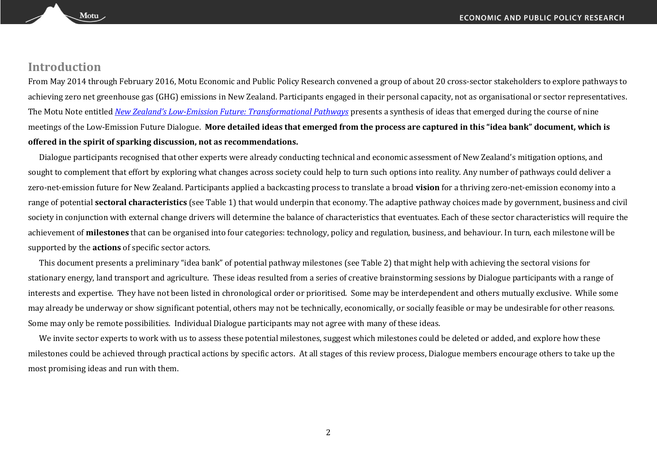### **Introduction**

Motu.

From May 2014 through February 2016, Motu Economic and Public Policy Research convened a group of about 20 cross-sector stakeholders to explore pathways to achieving zero net greenhouse gas (GHG) emissions in New Zealand. Participants engaged in their personal capacity, not as organisational or sector representatives. The Motu Note entitled *New Zealand's Low[-Emission Future: Transformational Pathways](http://motu.nz/our-work/environment-and-resources/emission-mitigation/shaping-new-zealands-low-emissions-future/new-zealands-low-emission-future-transformational-pathways-to-2050/)* presents a synthesis of ideas that emerged during the course of nine meetings of the Low-Emission Future Dialogue. **More detailed ideas that emerged from the process are captured in this "idea bank" document, which is offered in the spirit of sparking discussion, not as recommendations.** 

Dialogue participants recognised that other experts were already conducting technical and economic assessment of New Zealand's mitigation options, and sought to complement that effort by exploring what changes across society could help to turn such options into reality. Any number of pathways could deliver a zero-net-emission future for New Zealand. Participants applied a backcasting process to translate a broad **vision** for a thriving zero-net-emission economy into a range of potential **sectoral characteristics** (see Table 1) that would underpin that economy. The adaptive pathway choices made by government, business and civil society in conjunction with external change drivers will determine the balance of characteristics that eventuates. Each of these sector characteristics will require the achievement of **milestones** that can be organised into four categories: technology, policy and regulation, business, and behaviour. In turn, each milestone will be supported by the **actions** of specific sector actors.

This document presents a preliminary "idea bank" of potential pathway milestones (see Table 2) that might help with achieving the sectoral visions for stationary energy, land transport and agriculture. These ideas resulted from a series of creative brainstorming sessions by Dialogue participants with a range of interests and expertise. They have not been listed in chronological order or prioritised. Some may be interdependent and others mutually exclusive. While some may already be underway or show significant potential, others may not be technically, economically, or socially feasible or may be undesirable for other reasons. Some may only be remote possibilities. Individual Dialogue participants may not agree with many of these ideas.

We invite sector experts to work with us to assess these potential milestones, suggest which milestones could be deleted or added, and explore how these milestones could be achieved through practical actions by specific actors. At all stages of this review process, Dialogue members encourage others to take up the most promising ideas and run with them.

2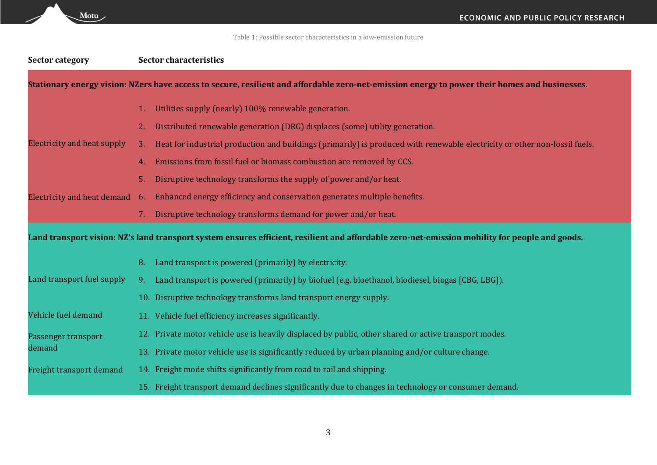Table 1: Possible sector characteristics in a low-emission future

| <b>Sector category</b>             | <b>Sector characteristics</b>                                                                                                                  |  |
|------------------------------------|------------------------------------------------------------------------------------------------------------------------------------------------|--|
|                                    | Stationary energy vision: NZers have access to secure, resilient and affordable zero-net-emission energy to power their homes and businesses.  |  |
|                                    | Utilities supply (nearly) 100% renewable generation.                                                                                           |  |
|                                    | Distributed renewable generation (DRG) displaces (some) utility generation.                                                                    |  |
| <b>Electricity and heat supply</b> | Heat for industrial production and buildings (primarily) is produced with renewable electricity or other non-fossil fuels.                     |  |
|                                    | Emissions from fossil fuel or biomass combustion are removed by CCS.                                                                           |  |
|                                    | Disruptive technology transforms the supply of power and/or heat.                                                                              |  |
| Electricity and heat demand 6.     | Enhanced energy efficiency and conservation generates multiple benefits.                                                                       |  |
|                                    | Disruptive technology transforms demand for power and/or heat.<br>7.                                                                           |  |
|                                    | Land transport vision: NZ's land transport system ensures efficient, resilient and affordable zero-net-emission mobility for people and goods. |  |
|                                    | Land transport is powered (primarily) by electricity.                                                                                          |  |
| Land transport fuel supply         | Land transport is powered (primarily) by biofuel (e.g. bioethanol, biodiesel, biogas [CBG, LBG]).                                              |  |
|                                    | 10. Disruptive technology transforms land transport energy supply.                                                                             |  |
| Vehicle fuel demand                | 11. Vehicle fuel efficiency increases significantly.                                                                                           |  |
| Passenger transport                | 12. Private motor vehicle use is heavily displaced by public, other shared or active transport modes.                                          |  |
| demand                             | 13. Private motor vehicle use is significantly reduced by urban planning and/or culture change.                                                |  |
| Freight transport demand           | 14. Freight mode shifts significantly from road to rail and shipping.                                                                          |  |
|                                    | 15. Freight transport demand declines significantly due to changes in technology or consumer demand.                                           |  |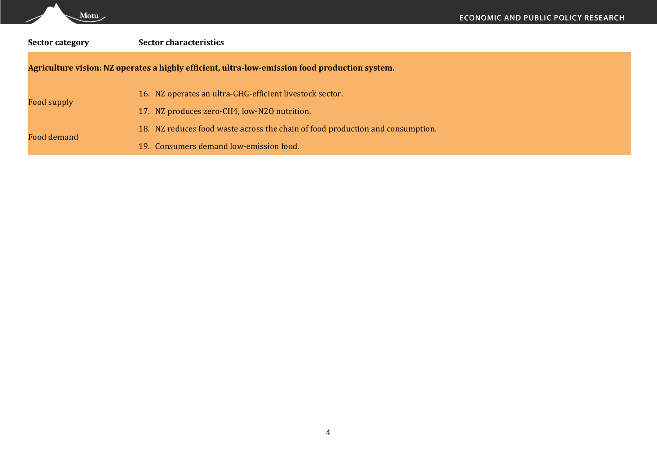| <b>Sector category</b>                                                                         | <b>Sector characteristics</b>                                                  |  |  |  |  |
|------------------------------------------------------------------------------------------------|--------------------------------------------------------------------------------|--|--|--|--|
| Agriculture vision: NZ operates a highly efficient, ultra-low-emission food production system. |                                                                                |  |  |  |  |
| Food supply                                                                                    | 16. NZ operates an ultra-GHG-efficient livestock sector.                       |  |  |  |  |
|                                                                                                | 17. NZ produces zero-CH4, low-N20 nutrition.                                   |  |  |  |  |
| Food demand                                                                                    | 18. NZ reduces food waste across the chain of food production and consumption. |  |  |  |  |
|                                                                                                | 19. Consumers demand low-emission food.                                        |  |  |  |  |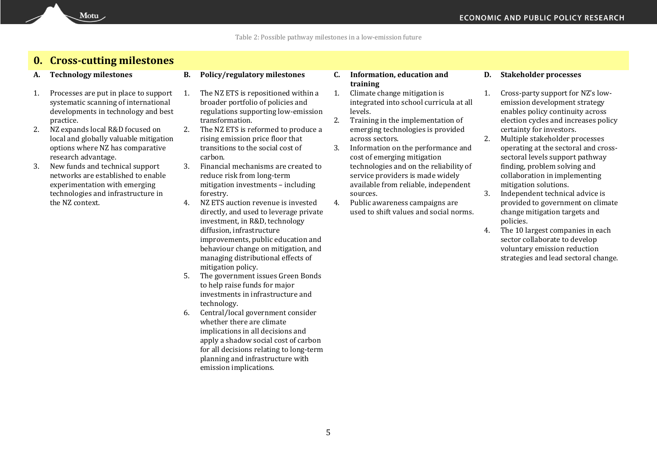### **0. Cross-cutting milestones**

Motu

- 1. Processes are put in place to support systematic scanning of international developments in technology and best practice.
- 2. NZ expands local R&D focused on local and globally valuable mitigation options where NZ has comparative research advantage.
- 3. New funds and technical support networks are established to enable experimentation with emerging technologies and infrastructure in the NZ context.
- **A. Technology milestones B. Policy/regulatory milestones C. Information, education and** 
	- 1. The NZ ETS is repositioned within a broader portfolio of policies and regulations supporting low-emission transformation.
	- 2. The NZ ETS is reformed to produce a rising emission price floor that transitions to the social cost of carbon.
	- 3. Financial mechanisms are created to reduce risk from long-term mitigation investments – including forestry.
	- 4. NZ ETS auction revenue is invested directly, and used to leverage private investment, in R&D, technology diffusion, infrastructure improvements, public education and behaviour change on mitigation, and managing distributional effects of mitigation policy.
	- 5. The government issues Green Bonds to help raise funds for major investments in infrastructure and technology.
	- 6. Central/local government consider whether there are climate implications in all decisions and apply a shadow social cost of carbon for all decisions relating to long-term planning and infrastructure with emission implications.
- **training**
- 1. Climate change mitigation is integrated into school curricula at all levels.
- 2. Training in the implementation of emerging technologies is provided across sectors.
- 3. Information on the performance and cost of emerging mitigation technologies and on the reliability of service providers is made widely available from reliable, independent sources.
- 4. Public awareness campaigns are used to shift values and social norms.

### **D. Stakeholder processes**

- 1. Cross-party support for NZ's lowemission development strategy enables policy continuity across election cycles and increases policy certainty for investors.
- 2. Multiple stakeholder processes operating at the sectoral and crosssectoral levels support pathway finding, problem solving and collaboration in implementing mitigation solutions.
- 3. Independent technical advice is provided to government on climate change mitigation targets and policies.
- 4. The 10 largest companies in each sector collaborate to develop voluntary emission reduction strategies and lead sectoral change.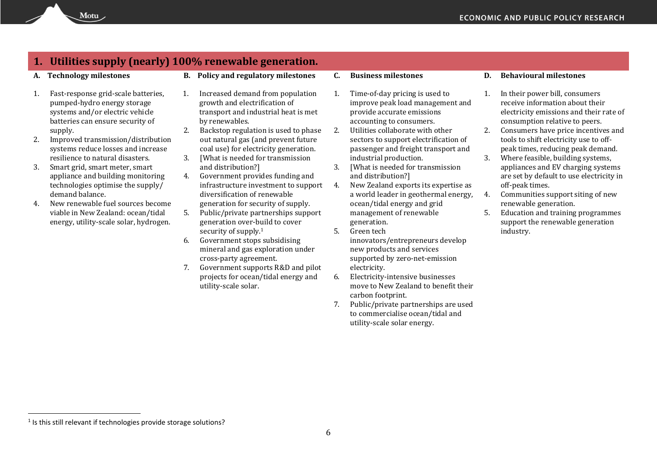# **1. Utilities supply (nearly) 100% renewable generation.**

Motu

- 1. Fast-response grid-scale batteries, pumped-hydro energy storage systems and/or electric vehicle batteries can ensure security of supply.
- 2. Improved transmission/distribution systems reduce losses and increase resilience to natural disasters.
- 3. Smart grid, smart meter, smart appliance and building monitoring technologies optimise the supply/ demand balance.
- 4. New renewable fuel sources become viable in New Zealand: ocean/tidal energy, utility-scale solar, hydrogen.
- **A. Technology milestones B. Policy and regulatory milestones C. Business milestones D. Behavioural milestones**
	- 1. Increased demand from population growth and electrification of transport and industrial heat is met by renewables.
	- 2. Backstop regulation is used to phase out natural gas (and prevent future coal use) for electricity generation.
	- 3. [What is needed for transmission and distribution?]
	- 4. Government provides funding and infrastructure investment to support diversification of renewable generation for security of supply.
	- 5. Public/private partnerships support generation over-build to cover security of supply.<sup>1</sup>
	- 6. Government stops subsidising mineral and gas exploration under cross-party agreement.
	- 7. Government supports R&D and pilot projects for ocean/tidal energy and utility-scale solar.
- 
- 1. Time-of-day pricing is used to improve peak load management and provide accurate emissions accounting to consumers.
- 2. Utilities collaborate with other sectors to support electrification of passenger and freight transport and industrial production.
- 3. [What is needed for transmission and distribution?]
- 4. New Zealand exports its expertise as a world leader in geothermal energy, ocean/tidal energy and grid management of renewable generation.
- 5. Green tech innovators/entrepreneurs develop new products and services supported by zero-net-emission electricity.
- 6. Electricity-intensive businesses move to New Zealand to benefit their carbon footprint.
- 7. Public/private partnerships are used to commercialise ocean/tidal and utility-scale solar energy.

- 1. In their power bill, consumers receive information about their electricity emissions and their rate of consumption relative to peers.
- 2. Consumers have price incentives and tools to shift electricity use to offpeak times, reducing peak demand.
- 3. Where feasible, building systems, appliances and EV charging systems are set by default to use electricity in off-peak times.
- 4. Communities support siting of new renewable generation.
- 5. Education and training programmes support the renewable generation industry.

 $\overline{a}$ 

<sup>&</sup>lt;sup>1</sup> Is this still relevant if technologies provide storage solutions?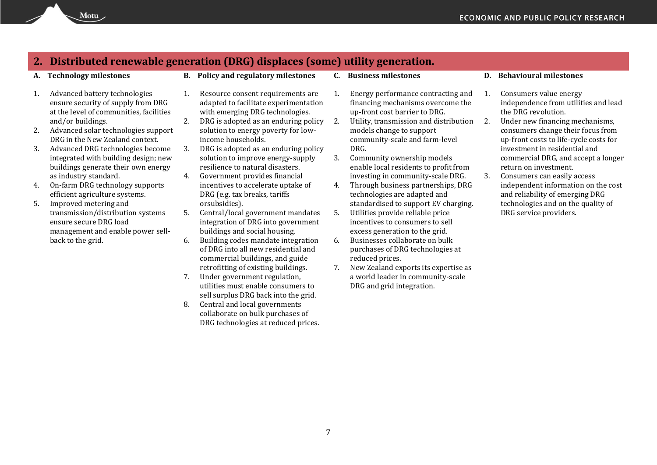### **2. Distributed renewable generation (DRG) displaces (some) utility generation.**

- 1. Advanced battery technologies ensure security of supply from DRG at the level of communities, facilities and/or buildings.
- 2. Advanced solar technologies support DRG in the New Zealand context.
- 3. Advanced DRG technologies become integrated with building design; new buildings generate their own energy as industry standard.
- 4. On-farm DRG technology supports efficient agriculture systems.
- 5. Improved metering and transmission/distribution systems ensure secure DRG load management and enable power sellback to the grid.
- **A. Technology milestones B. Policy and regulatory milestones C. Business milestones D. Behavioural milestones**
	- 1. Resource consent requirements are adapted to facilitate experimentation with emerging DRG technologies.
	- 2. DRG is adopted as an enduring policy solution to energy poverty for lowincome households.
	- 3. DRG is adopted as an enduring policy solution to improve energy-supply resilience to natural disasters.
	- 4. Government provides financial incentives to accelerate uptake of DRG (e.g. tax breaks, tariffs orsubsidies).
	- 5. Central/local government mandates integration of DRG into government buildings and social housing.
	- 6. Building codes mandate integration of DRG into all new residential and commercial buildings, and guide retrofitting of existing buildings.
	- 7. Under government regulation, utilities must enable consumers to sell surplus DRG back into the grid.
	- 8. Central and local governments collaborate on bulk purchases of DRG technologies at reduced prices.
- 
- 1. Energy performance contracting and financing mechanisms overcome the up-front cost barrier to DRG.
- 2. Utility, transmission and distribution 2. models change to support community-scale and farm-level DRG.
- 3. Community ownership models enable local residents to profit from investing in community-scale DRG.
- 4. Through business partnerships, DRG technologies are adapted and standardised to support EV charging.
- 5. Utilities provide reliable price incentives to consumers to sell excess generation to the grid.
- 6. Businesses collaborate on bulk purchases of DRG technologies at reduced prices.
- 7. New Zealand exports its expertise as a world leader in community-scale DRG and grid integration.

- 1. Consumers value energy independence from utilities and lead the DRG revolution.
- 2. Under new financing mechanisms, consumers change their focus from up-front costs to life-cycle costs for investment in residential and commercial DRG, and accept a longer return on investment.
- 3. Consumers can easily access independent information on the cost and reliability of emerging DRG technologies and on the quality of DRG service providers.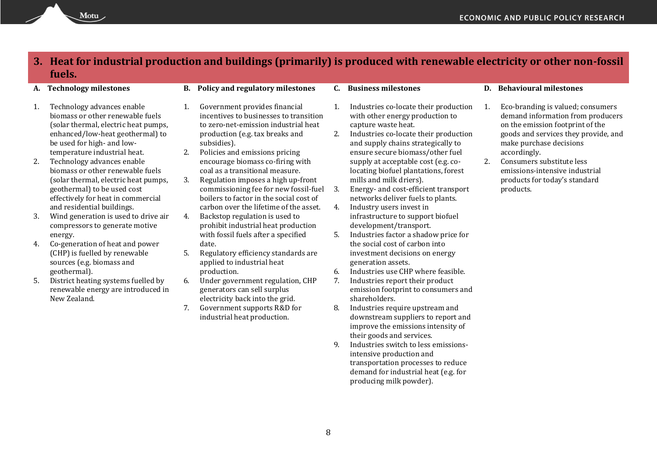### **3. Heat for industrial production and buildings (primarily) is produced with renewable electricity or other non-fossil fuels.**

- 1. Technology advances enable biomass or other renewable fuels (solar thermal, electric heat pumps, enhanced/low-heat geothermal) to be used for high- and lowtemperature industrial heat.
- 2. Technology advances enable biomass or other renewable fuels (solar thermal, electric heat pumps, geothermal) to be used cost effectively for heat in commercial and residential buildings.
- 3. Wind generation is used to drive air compressors to generate motive energy.
- 4. Co-generation of heat and power (CHP) is fuelled by renewable sources (e.g. biomass and geothermal).
- 5. District heating systems fuelled by renewable energy are introduced in New Zealand.
- **A. Technology milestones B. Policy and regulatory milestones C. Business milestones D. Behavioural milestones**
	- 1. Government provides financial incentives to businesses to transition to zero-net-emission industrial heat production (e.g. tax breaks and subsidies).
	- 2. Policies and emissions pricing encourage biomass co-firing with coal as a transitional measure.
	- 3. Regulation imposes a high up-front commissioning fee for new fossil-fuel boilers to factor in the social cost of carbon over the lifetime of the asset.
	- 4. Backstop regulation is used to prohibit industrial heat production with fossil fuels after a specified date.
	- 5. Regulatory efficiency standards are applied to industrial heat production.
	- 6. Under government regulation, CHP generators can sell surplus electricity back into the grid.
	- 7. Government supports R&D for industrial heat production.
- 
- 1. Industries co-locate their production with other energy production to capture waste heat.
- 2. Industries co-locate their production and supply chains strategically to ensure secure biomass/other fuel supply at acceptable cost (e.g. colocating biofuel plantations, forest mills and milk driers).
- 3. Energy- and cost-efficient transport networks deliver fuels to plants.
- 4. Industry users invest in infrastructure to support biofuel development/transport.
- 5. Industries factor a shadow price for the social cost of carbon into investment decisions on energy generation assets.
- 6. Industries use CHP where feasible.
- 7. Industries report their product emission footprint to consumers and shareholders.
- 8. Industries require upstream and downstream suppliers to report and improve the emissions intensity of their goods and services.
- 9. Industries switch to less emissionsintensive production and transportation processes to reduce demand for industrial heat (e.g. for producing milk powder).

- 1. Eco-branding is valued; consumers demand information from producers on the emission footprint of the goods and services they provide, and make purchase decisions accordingly.
- 2. Consumers substitute less emissions-intensive industrial products for today's standard products.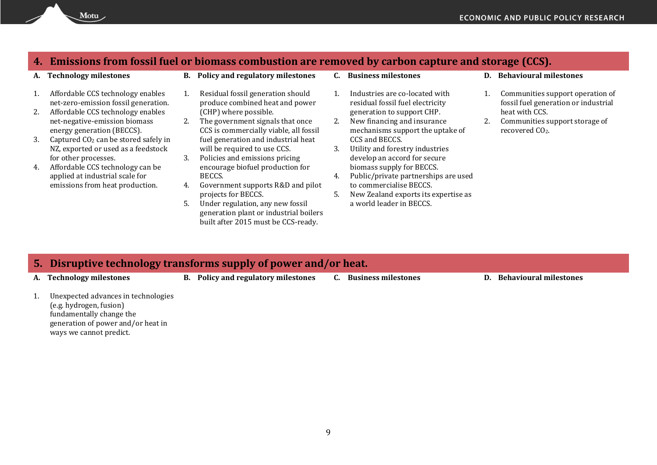# **4. Emissions from fossil fuel or biomass combustion are removed by carbon capture and storage (CCS).**

| А. | <b>Technology milestones</b>                                                                     | В. | Policy and regulatory milestones                                                                                  |    | <b>Business milestones</b>                                                                        | D. | <b>Behavioural milestones</b>                                                   |
|----|--------------------------------------------------------------------------------------------------|----|-------------------------------------------------------------------------------------------------------------------|----|---------------------------------------------------------------------------------------------------|----|---------------------------------------------------------------------------------|
|    | Affordable CCS technology enables<br>net-zero-emission fossil generation.                        |    | Residual fossil generation should<br>produce combined heat and power                                              |    | Industries are co-located with<br>residual fossil fuel electricity                                |    | Communities support operation of<br>fossil fuel generation or industrial        |
|    | Affordable CCS technology enables<br>net-negative-emission biomass<br>energy generation (BECCS). | 2. | (CHP) where possible.<br>The government signals that once<br>CCS is commercially viable, all fossil               | 2. | generation to support CHP.<br>New financing and insurance<br>mechanisms support the uptake of     |    | heat with CCS.<br>Communities support storage of<br>recovered CO <sub>2</sub> . |
| 3. | Captured CO <sub>2</sub> can be stored safely in<br>NZ, exported or used as a feedstock          |    | fuel generation and industrial heat<br>will be required to use CCS.                                               | 3. | CCS and BECCS.<br>Utility and forestry industries                                                 |    |                                                                                 |
| 4. | for other processes.<br>Affordable CCS technology can be<br>applied at industrial scale for      | 3. | Policies and emissions pricing<br>encourage biofuel production for<br>BECCS.                                      | 4. | develop an accord for secure<br>biomass supply for BECCS.<br>Public/private partnerships are used |    |                                                                                 |
|    | emissions from heat production.                                                                  | 4. | Government supports R&D and pilot                                                                                 |    | to commercialise BECCS.                                                                           |    |                                                                                 |
|    |                                                                                                  |    | projects for BECCS.                                                                                               |    | New Zealand exports its expertise as                                                              |    |                                                                                 |
|    |                                                                                                  | 5. | Under regulation, any new fossil<br>generation plant or industrial boilers<br>built after 2015 must be CCS-ready. |    | a world leader in BECCS.                                                                          |    |                                                                                 |
|    |                                                                                                  |    |                                                                                                                   |    |                                                                                                   |    |                                                                                 |

## **5. Disruptive technology transforms supply of power and/or heat.**

- **A. Technology milestones B. Policy and regulatory milestones C. Business milestones D. Behavioural milestones**
	-

1. Unexpected advances in technologies (e.g. hydrogen, fusion) fundamentally change the generation of power and/or heat in ways we cannot predict.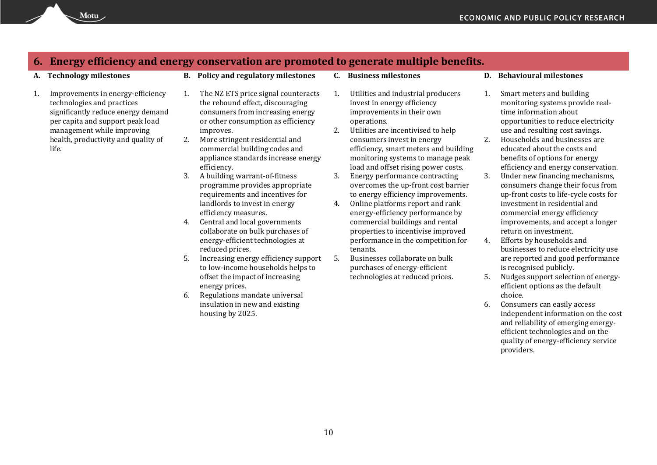### **6. Energy efficiency and energy conservation are promoted to generate multiple benefits.**

- 1. Improvements in energy-efficiency technologies and practices significantly reduce energy demand per capita and support peak load management while improving health, productivity and quality of life.
- **A. Technology milestones B. Policy and regulatory milestones C. Business milestones D. Behavioural milestones**
	- 1. The NZ ETS price signal counteracts the rebound effect, discouraging consumers from increasing energy or other consumption as efficiency improves.
	- 2. More stringent residential and commercial building codes and appliance standards increase energy efficiency.
	- 3. A building warrant-of-fitness programme provides appropriate requirements and incentives for landlords to invest in energy efficiency measures.
	- 4. Central and local governments collaborate on bulk purchases of energy-efficient technologies at reduced prices.
	- 5. Increasing energy efficiency support to low-income households helps to offset the impact of increasing energy prices.
	- 6. Regulations mandate universal insulation in new and existing housing by 2025.
- 
- 1. Utilities and industrial producers invest in energy efficiency improvements in their own operations.
- 2. Utilities are incentivised to help consumers invest in energy efficiency, smart meters and building monitoring systems to manage peak load and offset rising power costs.
- 3. Energy performance contracting overcomes the up-front cost barrier to energy efficiency improvements.
- 4. Online platforms report and rank energy-efficiency performance by commercial buildings and rental properties to incentivise improved performance in the competition for tenants.
- 5. Businesses collaborate on bulk purchases of energy-efficient technologies at reduced prices.
- 
- 1. Smart meters and building monitoring systems provide realtime information about opportunities to reduce electricity use and resulting cost savings.
- 2. Households and businesses are educated about the costs and benefits of options for energy efficiency and energy conservation.
- 3. Under new financing mechanisms, consumers change their focus from up-front costs to life-cycle costs for investment in residential and commercial energy efficiency improvements, and accept a longer return on investment.
- 4. Efforts by households and businesses to reduce electricity use are reported and good performance is recognised publicly.
- 5. Nudges support selection of energyefficient options as the default choice.
- 6. Consumers can easily access independent information on the cost and reliability of emerging energyefficient technologies and on the quality of energy-efficiency service providers.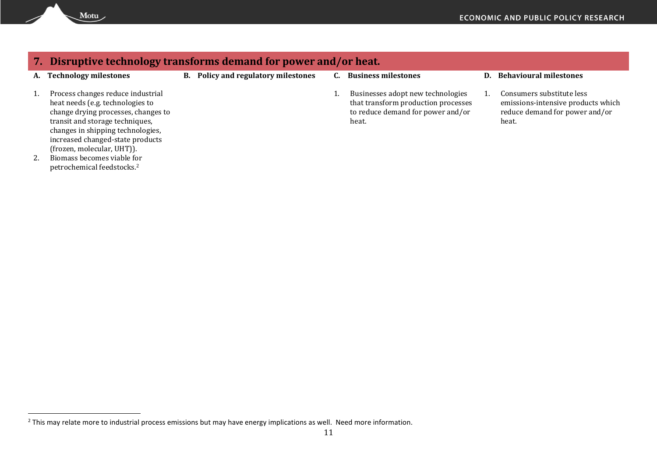| 7. |                                                                                                                                                                                                                                                                                      | Disruptive technology transforms demand for power and/or heat. |                                                                                                                        |                                                                                                            |
|----|--------------------------------------------------------------------------------------------------------------------------------------------------------------------------------------------------------------------------------------------------------------------------------------|----------------------------------------------------------------|------------------------------------------------------------------------------------------------------------------------|------------------------------------------------------------------------------------------------------------|
| А. | <b>Technology milestones</b>                                                                                                                                                                                                                                                         | <b>B.</b> Policy and regulatory milestones                     | <b>Business milestones</b>                                                                                             | D. Behavioural milestones                                                                                  |
|    | Process changes reduce industrial<br>heat needs (e.g. technologies to<br>change drying processes, changes to<br>transit and storage techniques,<br>changes in shipping technologies,<br>increased changed-state products<br>(frozen, molecular, UHT)).<br>Biomass becomes viable for |                                                                | Businesses adopt new technologies<br>that transform production processes<br>to reduce demand for power and/or<br>heat. | Consumers substitute less<br>emissions-intensive products which<br>reduce demand for power and/or<br>heat. |

petrochemical feedstocks.<sup>2</sup>

Motu

 $\overline{a}$ 

 $^2$  This may relate more to industrial process emissions but may have energy implications as well. Need more information.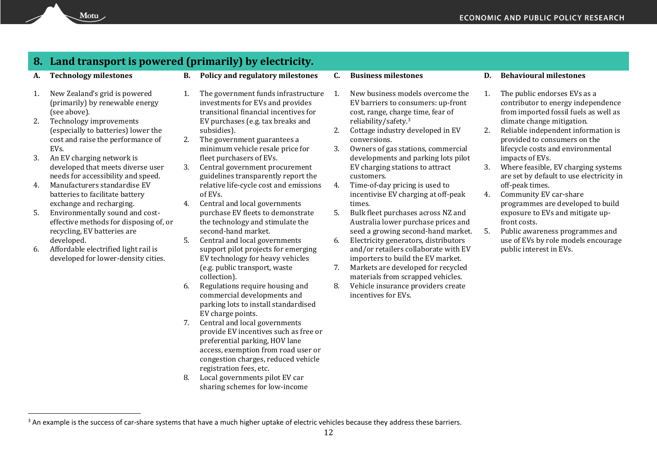# **8. Land transport is powered (primarily) by electricity.**

Motu

- 1. New Zealand's grid is powered (primarily) by renewable energy (see above).
- 2. Technology improvements (especially to batteries) lower the cost and raise the performance of EVs.
- 3. An EV charging network is developed that meets diverse user needs for accessibility and speed.
- 4. Manufacturers standardise EV batteries to facilitate battery exchange and recharging.
- 5. Environmentally sound and costeffective methods for disposing of, or recycling, EV batteries are developed.
- 6. Affordable electrified light rail is developed for lower-density cities.

 $\overline{a}$ 

- **A. Technology milestones B. Policy and regulatory milestones C. Business milestones D. Behavioural milestones**
	- 1. The government funds infrastructure 1. investments for EVs and provides transitional financial incentives for EV purchases (e.g. tax breaks and subsidies).
	- 2. The government guarantees a minimum vehicle resale price for fleet purchasers of EVs.
	- 3. Central government procurement guidelines transparently report the relative life-cycle cost and emissions of EVs.
	- 4. Central and local governments purchase EV fleets to demonstrate the technology and stimulate the second-hand market.
	- 5. Central and local governments support pilot projects for emerging EV technology for heavy vehicles (e.g. public transport, waste collection).
	- 6. Regulations require housing and commercial developments and parking lots to install standardised EV charge points.
	- 7. Central and local governments provide EV incentives such as free or preferential parking, HOV lane access, exemption from road user or congestion charges, reduced vehicle registration fees, etc.
	- 8. Local governments pilot EV car sharing schemes for low-income
- 
- New business models overcome the EV barriers to consumers: up-front cost, range, charge time, fear of reliability/safety.<sup>3</sup>
- 2. Cottage industry developed in EV conversions.
- 3. Owners of gas stations, commercial developments and parking lots pilot EV charging stations to attract customers.
- 4. Time-of-day pricing is used to incentivise EV charging at off-peak times.
- 5. Bulk fleet purchases across NZ and Australia lower purchase prices and seed a growing second-hand market.
- 6. Electricity generators, distributors and/or retailers collaborate with EV importers to build the EV market.
- 7. Markets are developed for recycled materials from scrapped vehicles.
- 8. Vehicle insurance providers create incentives for EVs.

- 1. The public endorses EVs as a contributor to energy independence from imported fossil fuels as well as climate change mitigation.
- 2. Reliable independent information is provided to consumers on the lifecycle costs and environmental impacts of EVs.
- 3. Where feasible, EV charging systems are set by default to use electricity in off-peak times.
- 4. Community EV car-share programmes are developed to build exposure to EVs and mitigate upfront costs.
- 5. Public awareness programmes and use of EVs by role models encourage public interest in EVs.

<sup>&</sup>lt;sup>3</sup> An example is the success of car-share systems that have a much higher uptake of electric vehicles because they address these barriers.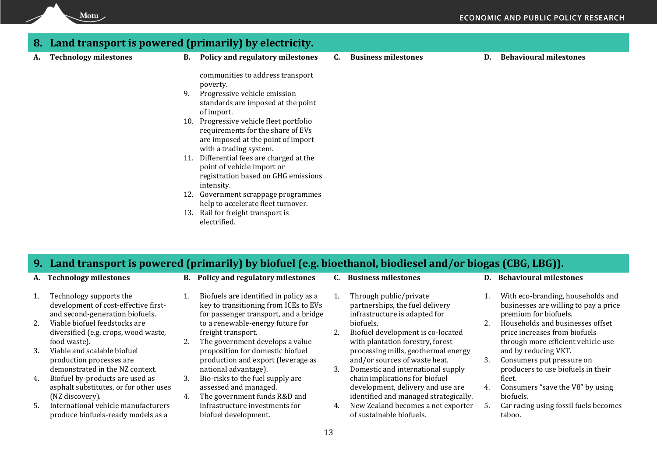### **8. Land transport is powered (primarily) by electricity. A. Technology milestones B. Policy and regulatory milestones C. Business milestones D. Behavioural milestones** communities to address transport poverty. 9. Progressive vehicle emission standards are imposed at the point of import. 10. Progressive vehicle fleet portfolio requirements for the share of EVs

### **9. Land transport is powered (primarily) by biofuel (e.g. bioethanol, biodiesel and/or biogas (CBG, LBG)).**

Motu

- 1. Technology supports the development of cost-effective firstand second-generation biofuels.
- 2. Viable biofuel feedstocks are diversified (e.g. crops, wood waste, food waste).
- 3. Viable and scalable biofuel production processes are demonstrated in the NZ context.
- 4. Biofuel by-products are used as asphalt substitutes, or for other uses (NZ discovery).
- 5. International vehicle manufacturers produce biofuels-ready models as a

**A. Technology milestones B. Policy and regulatory milestones C. Business milestones D. Behavioural milestones**

1. Biofuels are identified in policy as a key to transitioning from ICEs to EVs for passenger transport, and a bridge to a renewable-energy future for

2. The government develops a value proposition for domestic biofuel production and export (leverage as

freight transport.

national advantage). 3. Bio-risks to the fuel supply are assessed and managed. 4. The government funds R&D and infrastructure investments for

biofuel development.

are imposed at the point of import

registration based on GHG emissions

12. Government scrappage programmes help to accelerate fleet turnover.

with a trading system. 11. Differential fees are charged at the point of vehicle import or

13. Rail for freight transport is

intensity.

electrified.

- 1. Through public/private partnerships, the fuel delivery infrastructure is adapted for biofuels.
- 2. Biofuel development is co-located with plantation forestry, forest processing mills, geothermal energy and/or sources of waste heat.
- 3. Domestic and international supply chain implications for biofuel development, delivery and use are identified and managed strategically.
- 4. New Zealand becomes a net exporter of sustainable biofuels.

- 1. With eco-branding, households and businesses are willing to pay a price premium for biofuels.
- 2. Households and businesses offset price increases from biofuels through more efficient vehicle use and by reducing VKT.
- 3. Consumers put pressure on producers to use biofuels in their fleet.
- 4. Consumers "save the V8" by using biofuels.
- 5. Car racing using fossil fuels becomes taboo.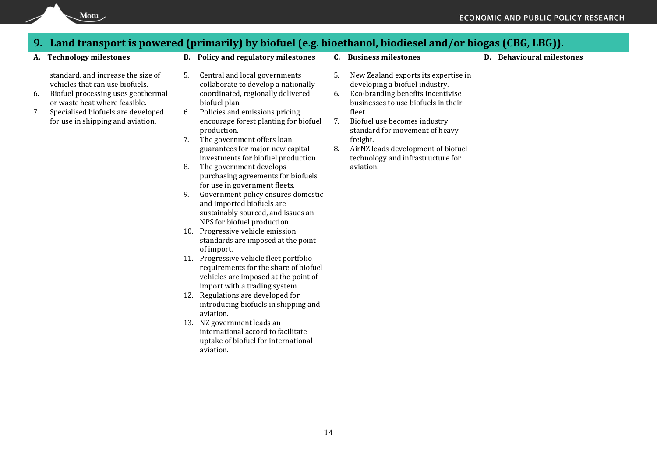## **9. Land transport is powered (primarily) by biofuel (e.g. bioethanol, biodiesel and/or biogas (CBG, LBG)).**

Motu

standard, and increase the size of vehicles that can use biofuels.

- 6. Biofuel processing uses geothermal or waste heat where feasible.
- 7. Specialised biofuels are developed for use in shipping and aviation.
- 
- 5. Central and local governments collaborate to develop a nationally coordinated, regionally delivered biofuel plan.
- 6. Policies and emissions pricing encourage forest planting for biofuel production.
- 7. The government offers loan guarantees for major new capital investments for biofuel production.
- 8. The government develops purchasing agreements for biofuels for use in government fleets.
- 9. Government policy ensures domestic and imported biofuels are sustainably sourced, and issues an NPS for biofuel production.
- 10. Progressive vehicle emission standards are imposed at the point of import.
- 11. Progressive vehicle fleet portfolio requirements for the share of biofuel vehicles are imposed at the point of import with a trading system.
- 12. Regulations are developed for introducing biofuels in shipping and aviation.
- 13. NZ government leads an international accord to facilitate uptake of biofuel for international aviation.
- 
- **A. Technology milestones B. Policy and regulatory milestones C. Business milestones D. Behavioural milestones**
	- 5. New Zealand exports its expertise in developing a biofuel industry.
	- 6. Eco-branding benefits incentivise businesses to use biofuels in their fleet.
	- 7. Biofuel use becomes industry standard for movement of heavy freight.
	- 8. AirNZ leads development of biofuel technology and infrastructure for aviation.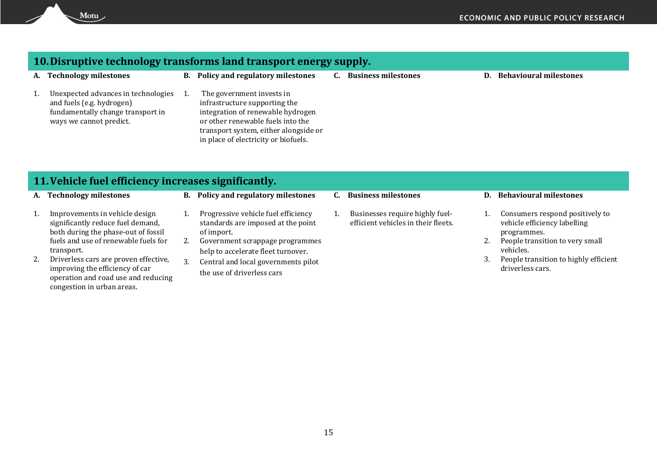## **10.Disruptive technology transforms land transport energy supply.**

|    | A. Technology milestones                                                                                                         | <b>B.</b> Policy and regulatory milestones                                                                                                                                                                            | <b>Business milestones</b> | D. Behavioural milestones |
|----|----------------------------------------------------------------------------------------------------------------------------------|-----------------------------------------------------------------------------------------------------------------------------------------------------------------------------------------------------------------------|----------------------------|---------------------------|
| 1. | Unexpected advances in technologies<br>and fuels (e.g. hydrogen)<br>fundamentally change transport in<br>ways we cannot predict. | The government invests in<br>infrastructure supporting the<br>integration of renewable hydrogen<br>or other renewable fuels into the<br>transport system, either alongside or<br>in place of electricity or biofuels. |                            |                           |

### **11.Vehicle fuel efficiency increases significantly.**

Motu

- 
- 1. Improvements in vehicle design significantly reduce fuel demand, both during the phase-out of fossil fuels and use of renewable fuels for transport.
- 2. Driverless cars are proven effective, improving the efficiency of car operation and road use and reducing congestion in urban areas.
- 1. Progressive vehicle fuel efficiency standards are imposed at the point
- of import. 2. Government scrappage programmes
	- help to accelerate fleet turnover.
- 3. Central and local governments pilot the use of driverless cars
- 
- 1. Businesses require highly fuelefficient vehicles in their fleets.

### **A. Technology milestones B. Policy and regulatory milestones C. Business milestones D. Behavioural milestones**

- 1. Consumers respond positively to vehicle efficiency labelling programmes.
- 2. People transition to very small vehicles.
- 3. People transition to highly efficient driverless cars.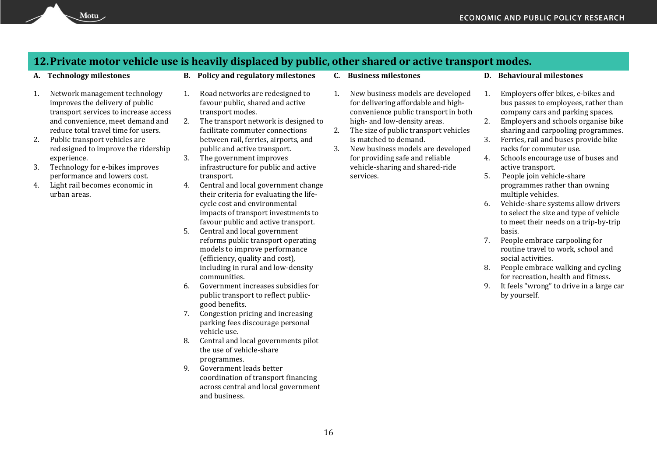### **12.Private motor vehicle use is heavily displaced by public, other shared or active transport modes.**

- 1. Network management technology improves the delivery of public transport services to increase access and convenience, meet demand and reduce total travel time for users.
- 2. Public transport vehicles are redesigned to improve the ridership experience.
- 3. Technology for e-bikes improves performance and lowers cost.
- 4. Light rail becomes economic in urban areas.
- **A. Technology milestones B. Policy and regulatory milestones C. Business milestones D. Behavioural milestones**
	- 1. Road networks are redesigned to favour public, shared and active transport modes.
	- 2. The transport network is designed to facilitate commuter connections between rail, ferries, airports, and public and active transport.
	- 3. The government improves infrastructure for public and active transport.
	- 4. Central and local government change their criteria for evaluating the lifecycle cost and environmental impacts of transport investments to favour public and active transport.
	- 5. Central and local government reforms public transport operating models to improve performance (efficiency, quality and cost), including in rural and low-density communities.
	- 6. Government increases subsidies for public transport to reflect publicgood benefits.
	- 7. Congestion pricing and increasing parking fees discourage personal vehicle use.
	- 8. Central and local governments pilot the use of vehicle-share programmes.
	- 9. Government leads better coordination of transport financing across central and local government and business.
- 
- 1. New business models are developed for delivering affordable and highconvenience public transport in both high- and low-density areas.
- 2. The size of public transport vehicles is matched to demand.
- 3. New business models are developed for providing safe and reliable vehicle-sharing and shared-ride services.

- 1. Employers offer bikes, e-bikes and bus passes to employees, rather than company cars and parking spaces.
- 2. Employers and schools organise bike sharing and carpooling programmes.
- 3. Ferries, rail and buses provide bike racks for commuter use.
- 4. Schools encourage use of buses and active transport.
- 5. People join vehicle-share programmes rather than owning multiple vehicles.
- 6. Vehicle-share systems allow drivers to select the size and type of vehicle to meet their needs on a trip-by-trip basis.
- 7. People embrace carpooling for routine travel to work, school and social activities.
- 8. People embrace walking and cycling for recreation, health and fitness.
- 9. It feels "wrong" to drive in a large car by yourself.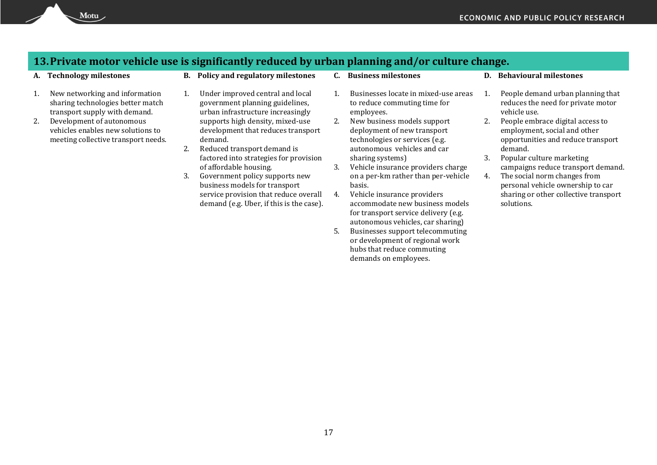### **13.Private motor vehicle use is significantly reduced by urban planning and/or culture change.**

- 1. New networking and information sharing technologies better match transport supply with demand.
- 2. Development of autonomous vehicles enables new solutions to meeting collective transport needs.
- **A. Technology milestones B. Policy and regulatory milestones C. Business milestones D. Behavioural milestones**
	- 1. Under improved central and local government planning guidelines, urban infrastructure increasingly supports high density, mixed-use development that reduces transport demand.
	- 2. Reduced transport demand is factored into strategies for provision of affordable housing.
	- 3. Government policy supports new business models for transport service provision that reduce overall demand (e.g. Uber, if this is the case).
- 
- 1. Businesses locate in mixed-use areas to reduce commuting time for employees.
- 2. New business models support deployment of new transport technologies or services (e.g. autonomous vehicles and car sharing systems)
- 3. Vehicle insurance providers charge on a per-km rather than per-vehicle basis.
- 4. Vehicle insurance providers accommodate new business models for transport service delivery (e.g. autonomous vehicles, car sharing)
- 5. Businesses support telecommuting or development of regional work hubs that reduce commuting demands on employees.

- 1. People demand urban planning that reduces the need for private motor vehicle use.
- 2. People embrace digital access to employment, social and other opportunities and reduce transport demand.
- 3. Popular culture marketing campaigns reduce transport demand.
- 4. The social norm changes from personal vehicle ownership to car sharing or other collective transport solutions.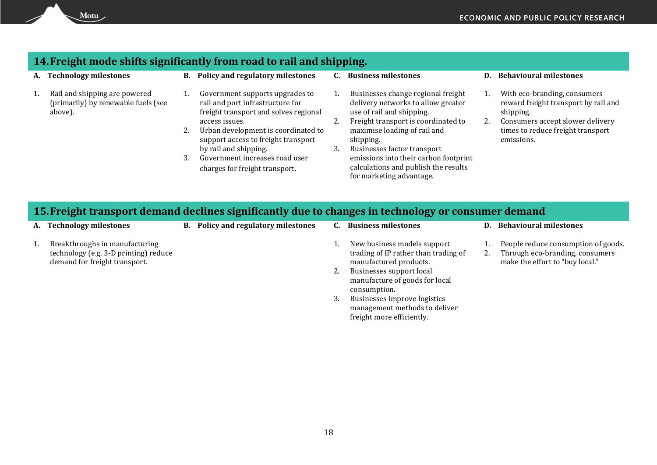# **14.Freight mode shifts significantly from road to rail and shipping.**

 $Motu$ 

| А. | <b>Technology milestones</b>                                                    |    | <b>B.</b> Policy and regulatory milestones                                                                   |    | <b>Business milestones</b>                                                                            | <b>Behavioural milestones</b>                                                     |
|----|---------------------------------------------------------------------------------|----|--------------------------------------------------------------------------------------------------------------|----|-------------------------------------------------------------------------------------------------------|-----------------------------------------------------------------------------------|
|    | Rail and shipping are powered<br>(primarily) by renewable fuels (see<br>above). |    | Government supports upgrades to<br>rail and port infrastructure for<br>freight transport and solves regional |    | Businesses change regional freight<br>delivery networks to allow greater<br>use of rail and shipping. | With eco-branding, consumers<br>reward freight transport by rail and<br>shipping. |
|    |                                                                                 |    | access issues.                                                                                               |    | Freight transport is coordinated to                                                                   | Consumers accept slower delivery                                                  |
|    |                                                                                 | 2. | Urban development is coordinated to<br>support access to freight transport                                   |    | maximise loading of rail and<br>shipping.                                                             | times to reduce freight transport<br>emissions.                                   |
|    |                                                                                 |    | by rail and shipping.                                                                                        | 3. | Businesses factor transport                                                                           |                                                                                   |
|    |                                                                                 | 3. | Government increases road user                                                                               |    | emissions into their carbon footprint                                                                 |                                                                                   |
|    |                                                                                 |    | charges for freight transport.                                                                               |    | calculations and publish the results<br>for marketing advantage.                                      |                                                                                   |
|    |                                                                                 |    |                                                                                                              |    |                                                                                                       |                                                                                   |

# **15.Freight transport demand declines significantly due to changes in technology or consumer demand**

| Policy and regulatory milestones<br><b>Behavioural milestones</b><br>A. Technology milestones<br><b>Business milestones</b><br>В.<br>D.                                                                                                                                                                                                                                                                                        |                                                                        |
|--------------------------------------------------------------------------------------------------------------------------------------------------------------------------------------------------------------------------------------------------------------------------------------------------------------------------------------------------------------------------------------------------------------------------------|------------------------------------------------------------------------|
| Breakthroughs in manufacturing<br>New business models support<br>trading of IP rather than trading of<br>technology (e.g. 3-D printing) reduce<br>2.<br>demand for freight transport.<br>make the effort to "buy local."<br>manufactured products.<br>Businesses support local<br>manufacture of goods for local<br>consumption.<br>Businesses improve logistics<br>management methods to deliver<br>freight more efficiently. | People reduce consumption of goods.<br>Through eco-branding, consumers |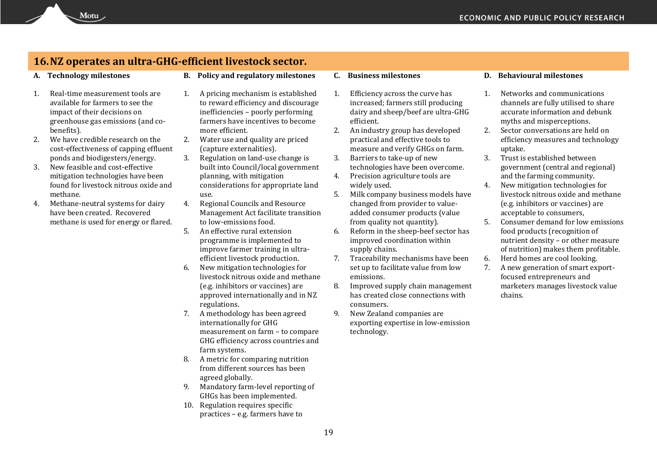### **16.NZ operates an ultra-GHG-efficient livestock sector.**

- 1. Real-time measurement tools are available for farmers to see the impact of their decisions on greenhouse gas emissions (and cobenefits).
- 2. We have credible research on the cost-effectiveness of capping effluent ponds and biodigesters/energy.
- 3. New feasible and cost-effective mitigation technologies have been found for livestock nitrous oxide and methane.
- 4. Methane-neutral systems for dairy have been created. Recovered methane is used for energy or flared.
- **A. Technology milestones B. Policy and regulatory milestones C. Business milestones D. Behavioural milestones**
	- 1. A pricing mechanism is established to reward efficiency and discourage inefficiencies – poorly performing farmers have incentives to become more efficient.
	- 2. Water use and quality are priced (capture externalities).
	- 3. Regulation on land-use change is built into Council/local government planning, with mitigation considerations for appropriate land use.
	- 4. Regional Councils and Resource Management Act facilitate transition to low-emissions food.
	- 5. An effective rural extension programme is implemented to improve farmer training in ultraefficient livestock production.
	- 6. New mitigation technologies for livestock nitrous oxide and methane (e.g. inhibitors or vaccines) are approved internationally and in NZ regulations.
	- 7. A methodology has been agreed internationally for GHG measurement on farm – to compare GHG efficiency across countries and farm systems.
	- 8. A metric for comparing nutrition from different sources has been agreed globally.
	- 9. Mandatory farm-level reporting of GHGs has been implemented.
	- 10. Regulation requires specific practices – e.g. farmers have to

- 1. Efficiency across the curve has increased; farmers still producing dairy and sheep/beef are ultra-GHG efficient.
- 2. An industry group has developed practical and effective tools to measure and verify GHGs on farm.
- 3. Barriers to take-up of new technologies have been overcome.
- 4. Precision agriculture tools are widely used.
- 5. Milk company business models have changed from provider to valueadded consumer products (value from quality not quantity).
- 6. Reform in the sheep-beef sector has improved coordination within supply chains.
- 7. Traceability mechanisms have been set up to facilitate value from low emissions.
- 8. Improved supply chain management has created close connections with consumers.
- 9. New Zealand companies are exporting expertise in low-emission technology.

- 1. Networks and communications channels are fully utilised to share accurate information and debunk myths and misperceptions.
- 2. Sector conversations are held on efficiency measures and technology uptake.
- 3. Trust is established between government (central and regional) and the farming community.
- 4. New mitigation technologies for livestock nitrous oxide and methane (e.g. inhibitors or vaccines) are acceptable to consumers,
- 5. Consumer demand for low emissions food products (recognition of nutrient density – or other measure of nutrition) makes them profitable.
- 6. Herd homes are cool looking.
- 7. A new generation of smart exportfocused entrepreneurs and marketers manages livestock value chains.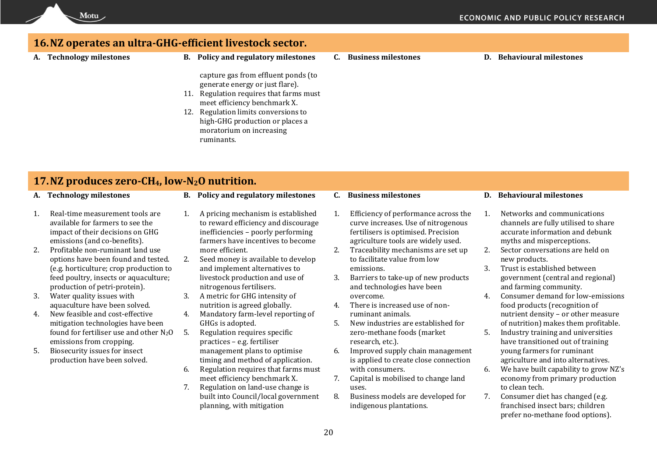# Motu

## **16.NZ operates an ultra-GHG-efficient livestock sector.**

- 
- **A. Technology milestones B. Policy and regulatory milestones C. Business milestones D. Behavioural milestones**

capture gas from effluent ponds (to generate energy or just flare).

- 11. Regulation requires that farms must meet efficiency benchmark X.
- 12. Regulation limits conversions to high-GHG production or places a moratorium on increasing ruminants.

# **17.NZ produces zero-CH4, low-N2O nutrition.**

- 
- **A. Technology milestones B. Policy and regulatory milestones C. Business milestones D. Behavioural milestones**
- 1. Real-time measurement tools are available for farmers to see the impact of their decisions on GHG emissions (and co-benefits).
- 2. Profitable non-ruminant land use options have been found and tested. (e.g. horticulture; crop production to feed poultry, insects or aquaculture; production of petri-protein).
- 3. Water quality issues with aquaculture have been solved.
- 4. New feasible and cost-effective mitigation technologies have been found for fertiliser use and other  $N_2O$ emissions from cropping.
- 5. Biosecurity issues for insect production have been solved.
- 1. A pricing mechanism is established to reward efficiency and discourage inefficiencies – poorly performing farmers have incentives to become more efficient.
- 2. Seed money is available to develop and implement alternatives to livestock production and use of nitrogenous fertilisers.
- 3. A metric for GHG intensity of nutrition is agreed globally.
- 4. Mandatory farm-level reporting of GHGs is adopted.
- 5. Regulation requires specific practices – e.g. fertiliser management plans to optimise timing and method of application.
- 6. Regulation requires that farms must meet efficiency benchmark X.
- 7. Regulation on land-use change is built into Council/local government planning, with mitigation

- 1. Efficiency of performance across the curve increases. Use of nitrogenous fertilisers is optimised. Precision agriculture tools are widely used.
- 2. Traceability mechanisms are set up to facilitate value from low emissions.
- 3. Barriers to take-up of new products and technologies have been overcome.
- 4. There is increased use of nonruminant animals.
- 5. New industries are established for zero-methane foods (market research, etc.).
- 6. Improved supply chain management is applied to create close connection with consumers.
- 7. Capital is mobilised to change land uses.
- 8. Business models are developed for indigenous plantations.

- 1. Networks and communications channels are fully utilised to share accurate information and debunk myths and misperceptions.
- 2. Sector conversations are held on new products.
- 3. Trust is established between government (central and regional) and farming community.
- 4. Consumer demand for low-emissions food products (recognition of nutrient density – or other measure of nutrition) makes them profitable.
- 5. Industry training and universities have transitioned out of training young farmers for ruminant agriculture and into alternatives.
- 6. We have built capability to grow NZ's economy from primary production to clean tech.
- 7. Consumer diet has changed (e.g. franchised insect bars; children prefer no-methane food options).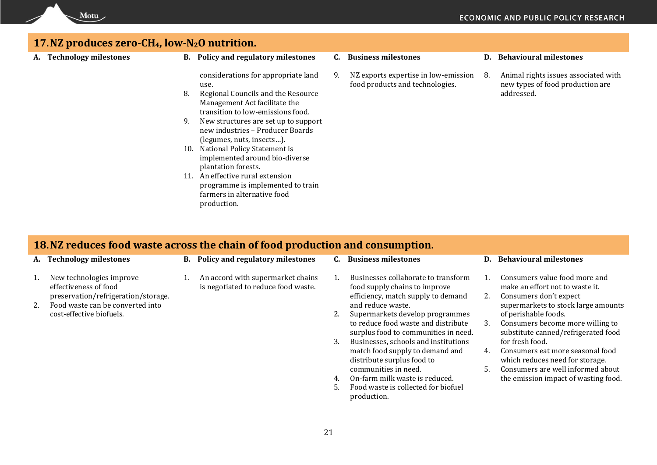## **17.NZ produces zero-CH4, low-N2O nutrition.**

Motu

**A. Technology milestones B. Policy and regulatory milestones C. Business milestones D. Behavioural milestones**

considerations for appropriate land use.

- 8. Regional Councils and the Resource Management Act facilitate the transition to low-emissions food.
- 9. New structures are set up to support new industries – Producer Boards (legumes, nuts, insects…).
- 10. National Policy Statement is implemented around bio-diverse plantation forests.
- 11. An effective rural extension programme is implemented to train farmers in alternative food production.
- 
- 9. NZ exports expertise in low-emission food products and technologies.

8. Animal rights issues associated with new types of food production are addressed.

### **18.NZ reduces food waste across the chain of food production and consumption.**

- 
- **A. Technology milestones B. Policy and regulatory milestones C. Business milestones D. Behavioural milestones**
- - 1. Businesses collaborate to transform food supply chains to improve efficiency, match supply to demand and reduce waste.
	- 2. Supermarkets develop programmes to reduce food waste and distribute surplus food to communities in need.
	- 3. Businesses, schools and institutions match food supply to demand and distribute surplus food to communities in need.
	- 4. On-farm milk waste is reduced.
	- 5. Food waste is collected for biofuel production.
- 
- 1. Consumers value food more and make an effort not to waste it.
- 2. Consumers don't expect supermarkets to stock large amounts of perishable foods.
- 3. Consumers become more willing to substitute canned/refrigerated food for fresh food.
- 4. Consumers eat more seasonal food which reduces need for storage.
- 5. Consumers are well informed about the emission impact of wasting food.
- 1. New technologies improve effectiveness of food
	- preservation/refrigeration/storage. 1. An accord with supermarket chains is negotiated to reduce food waste.
- 2. Food waste can be converted into cost-effective biofuels.